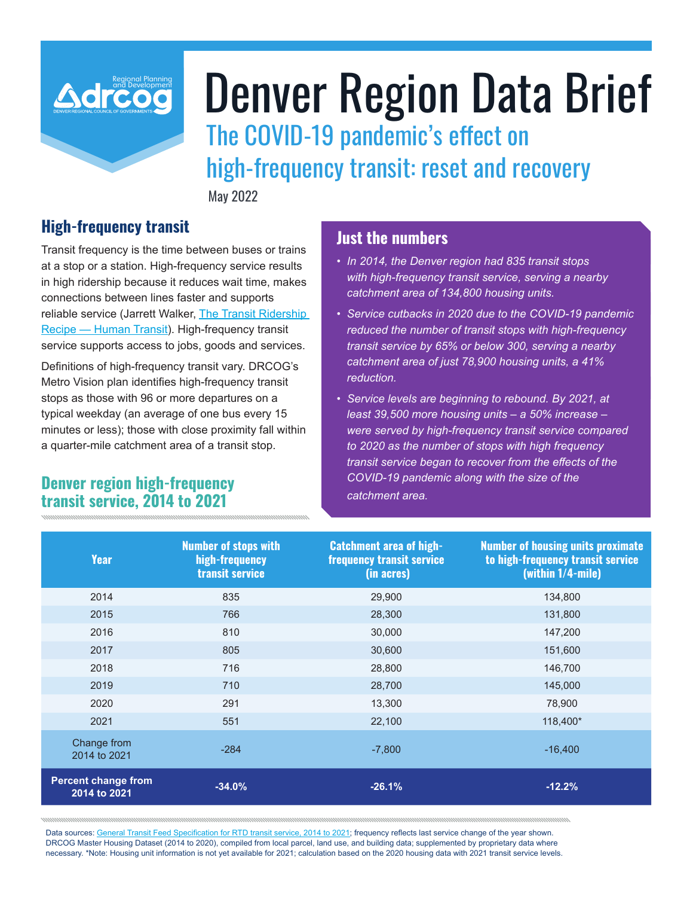

# Denver Region Data Brief

The COVID-19 pandemic's effect on high-frequency transit: reset and recovery

May 2022

## **High-frequency transit**

Transit frequency is the time between buses or trains at a stop or a station. High-frequency service results in high ridership because it reduces wait time, makes connections between lines faster and supports reliable service (Jarrett Walker, The Transit Ridership Recipe — Human Transit). High-frequency transit service supports access to jobs, goods and services.

Definitions of high-frequency transit vary. DRCOG's Metro Vision plan identifies high-frequency transit stops as those with 96 or more departures on a typical weekday (an average of one bus every 15 minutes or less); those with close proximity fall within a quarter-mile catchment area of a transit stop.

## **Denver region high-frequency transit service, 2014 to 2021**

## **Just the numbers**

- *• In 2014, the Denver region had 835 transit stops with high-frequency transit service, serving a nearby catchment area of 134,800 housing units.*
- *• Service cutbacks in 2020 due to the COVID-19 pandemic reduced the number of transit stops with high-frequency transit service by 65% or below 300, serving a nearby catchment area of just 78,900 housing units, a 41% reduction.*
- *• Service levels are beginning to rebound. By 2021, at least 39,500 more housing units – a 50% increase – were served by high-frequency transit service compared to 2020 as the number of stops with high frequency transit service began to recover from the effects of the COVID-19 pandemic along with the size of the catchment area.*

| <b>Year</b>                                | <b>Number of stops with</b><br>high-frequency<br><b>transit service</b> | <b>Catchment area of high-</b><br><b>frequency transit service</b><br>(in acres) | <b>Number of housing units proximate</b><br>to high-frequency transit service<br>(within 1/4-mile) |
|--------------------------------------------|-------------------------------------------------------------------------|----------------------------------------------------------------------------------|----------------------------------------------------------------------------------------------------|
| 2014                                       | 835                                                                     | 29,900                                                                           | 134,800                                                                                            |
| 2015                                       | 766                                                                     | 28,300                                                                           | 131,800                                                                                            |
| 2016                                       | 810                                                                     | 30,000                                                                           | 147,200                                                                                            |
| 2017                                       | 805                                                                     | 30,600                                                                           | 151,600                                                                                            |
| 2018                                       | 716                                                                     | 28,800                                                                           | 146,700                                                                                            |
| 2019                                       | 710                                                                     | 28,700                                                                           | 145,000                                                                                            |
| 2020                                       | 291                                                                     | 13,300                                                                           | 78,900                                                                                             |
| 2021                                       | 551                                                                     | 22,100                                                                           | 118,400*                                                                                           |
| Change from<br>2014 to 2021                | $-284$                                                                  | $-7,800$                                                                         | $-16.400$                                                                                          |
| <b>Percent change from</b><br>2014 to 2021 | $-34.0%$                                                                | $-26.1%$                                                                         | $-12.2%$                                                                                           |

Data sources: General Transit Feed Specification for RTD transit service, 2014 to 2021; frequency reflects last service change of the year shown. DRCOG Master Housing Dataset (2014 to 2020), compiled from local parcel, land use, and building data; supplemented by proprietary data where necessary. \*Note: Housing unit information is not yet available for 2021; calculation based on the 2020 housing data with 2021 transit service levels.